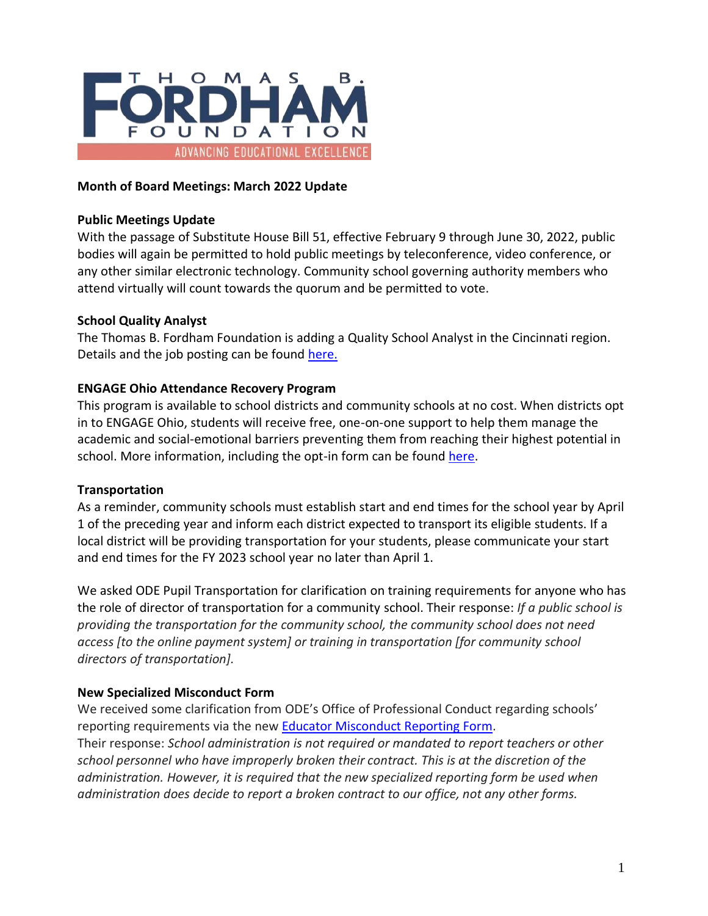

### **Month of Board Meetings: March 2022 Update**

#### **Public Meetings Update**

With the passage of Substitute House Bill 51, effective February 9 through June 30, 2022, public bodies will again be permitted to hold public meetings by teleconference, video conference, or any other similar electronic technology. Community school governing authority members who attend virtually will count towards the quorum and be permitted to vote.

### **School Quality Analyst**

The Thomas B. Fordham Foundation is adding a Quality School Analyst in the Cincinnati region. Details and the job posting can be found [here.](https://fordhaminstitute.org/ohio/jobs/school-quality-analyst-cincinnati-region)

#### **ENGAGE Ohio Attendance Recovery Program**

This program is available to school districts and community schools at no cost. When districts opt in to ENGAGE Ohio, students will receive free, one-on-one support to help them manage the academic and social-emotional barriers preventing them from reaching their highest potential in school. More information, including the opt-in form can be found [here.](https://engageoh.graduationalliance.com/)

### **Transportation**

As a reminder, community schools must establish start and end times for the school year by April 1 of the preceding year and inform each district expected to transport its eligible students. If a local district will be providing transportation for your students, please communicate your start and end times for the FY 2023 school year no later than April 1.

We asked ODE Pupil Transportation for clarification on training requirements for anyone who has the role of director of transportation for a community school. Their response: *If a public school is providing the transportation for the community school, the community school does not need access [to the online payment system] or training in transportation [for community school directors of transportation].*

### **New Specialized Misconduct Form**

We received some clarification from ODE's Office of Professional Conduct regarding schools' reporting requirements via the ne[w Educator Misconduct Reporting Form.](https://education.ohio.gov/getattachment/Topics/Teaching/Educator-Conduct/Educator-Professional-Conduct-Forms/Educator-Misconduct-Reporting-Form.pdf.aspx?lang=en-US)

Their response: *School administration is not required or mandated to report teachers or other school personnel who have improperly broken their contract. This is at the discretion of the administration. However, it is required that the new specialized reporting form be used when administration does decide to report a broken contract to our office, not any other forms.*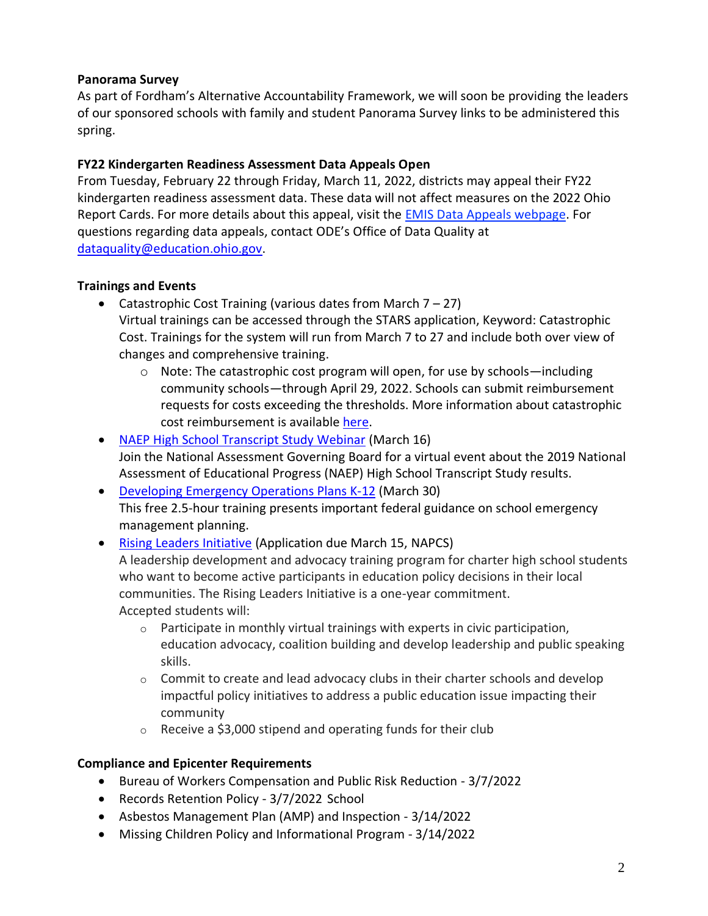## **Panorama Survey**

As part of Fordham's Alternative Accountability Framework, we will soon be providing the leaders of our sponsored schools with family and student Panorama Survey links to be administered this spring.

# **FY22 Kindergarten Readiness Assessment Data Appeals Open**

From Tuesday, February 22 through Friday, March 11, 2022, districts may appeal their FY22 kindergarten readiness assessment data. These data will not affect measures on the 2022 Ohio Report Cards. For more details about this appeal, visit the [EMIS Data Appeals webpage.](https://education.ohio.gov/Topics/Data/EMIS/Reporting-Responsibilities/Data-Appeals) For questions regarding data appeals, contact ODE's Office of Data Quality at [dataquality@education.ohio.gov.](mailto:dataquality@education.ohio.gov)

# **Trainings and Events**

• Catastrophic Cost Training (various dates from March  $7 - 27$ )

Virtual trainings can be accessed through the STARS application, Keyword: Catastrophic Cost. Trainings for the system will run from March 7 to 27 and include both over view of changes and comprehensive training.

- $\circ$  Note: The catastrophic cost program will open, for use by schools—including community schools—through April 29, 2022. Schools can submit reimbursement requests for costs exceeding the thresholds. More information about catastrophic cost reimbursement is available [here.](https://education.ohio.gov/Topics/Ohio-Education-Options/Public-Schools/Forms-and-Program-Information-for-Traditional-Publ/Catastrophic-Cost-Reimbursement)
- [NAEP High School Transcript Study Webinar](http://cloud.nagb-gov.org/hsts-registration) (March 16) Join the National Assessment Governing Board for a virtual event about the 2019 National Assessment of Educational Progress (NAEP) High School Transcript Study results.
- [Developing Emergency Operations Plans K-12](https://remstacenter.org/TBR/TrainingRegistration.aspx?trainingsid=5429) (March 30) This free 2.5-hour training presents important federal guidance on school emergency management planning.

## • [Rising Leaders Initiative](https://www.publiccharters.org/what-you-can-do/rising-leaders-initiative) (Application due March 15, NAPCS) A leadership development and advocacy training program for charter high school students who want to become active participants in education policy decisions in their local communities. The Rising Leaders Initiative is a one-year commitment. Accepted students will:

- o Participate in monthly virtual trainings with experts in civic participation, education advocacy, coalition building and develop leadership and public speaking skills.
- $\circ$  Commit to create and lead advocacy clubs in their charter schools and develop impactful policy initiatives to address a public education issue impacting their community
- o Receive a \$3,000 stipend and operating funds for their club

# **Compliance and Epicenter Requirements**

- Bureau of Workers Compensation and Public Risk Reduction 3/7/2022
- Records Retention Policy 3/7/2022 School
- Asbestos Management Plan (AMP) and Inspection 3/14/2022
- Missing Children Policy and Informational Program 3/14/2022